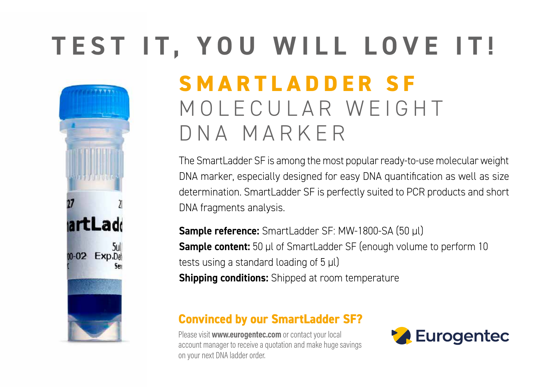# **TEST IT, YOU WILL LOVE IT!**

artLadd 5ul **M-02 Exp.Dat** 

## **SMARTLADDER SF** MOLECULAR WEIGHT DNA MARKER

The SmartLadder SF is among the most popular ready-to-use molecular weight DNA marker, especially designed for easy DNA quantification as well as size determination. SmartLadder SF is perfectly suited to PCR products and short DNA fragments analysis.

**Sample reference:** SmartLadder SF: MW-1800-SA (50 μl) **Sample content:** 50 μl of SmartLadder SF (enough volume to perform 10 tests using a standard loading of 5 μl) **Shipping conditions:** Shipped at room temperature

### **Convinced by our SmartLadder SF?**

Please visit **www.eurogentec.com** or contact your local account manager to receive a quotation and make huge savings on your next DNA ladder order.